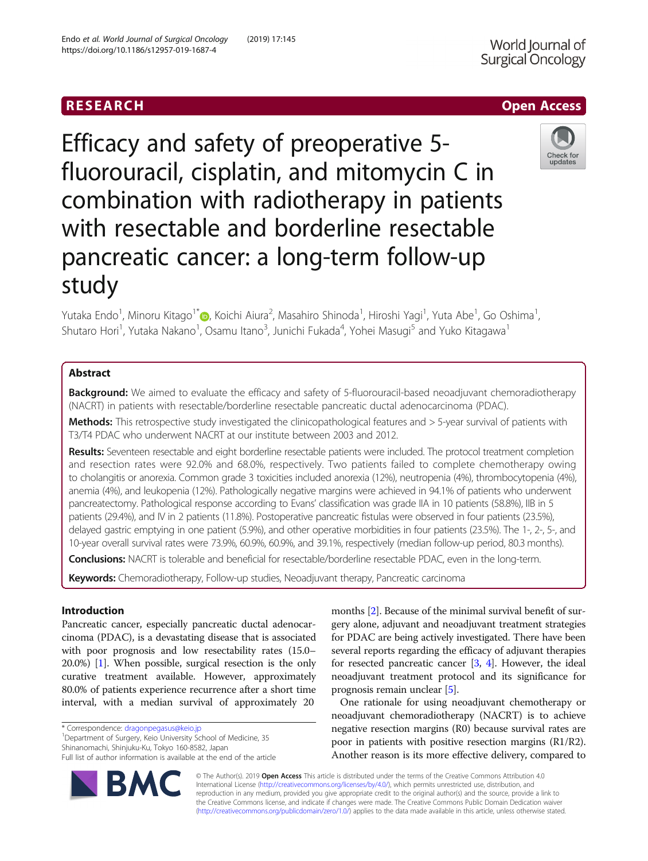# **RESEARCH CHE Open Access**

Efficacy and safety of preoperative 5 fluorouracil, cisplatin, and mitomycin C in combination with radiotherapy in patients with resectable and borderline resectable pancreatic cancer: a long-term follow-up study

Yutaka Endo<sup>1</sup>, Minoru Kitago<sup>1\*</sup>�, Koichi Aiura<sup>2</sup>, Masahiro Shinoda<sup>1</sup>, Hiroshi Yagi<sup>1</sup>, Yuta Abe<sup>1</sup>, Go Oshima<sup>1</sup> , Shutaro Hori<sup>1</sup>, Yutaka Nakano<sup>1</sup>, Osamu Itano<sup>3</sup>, Junichi Fukada<sup>4</sup>, Yohei Masugi<sup>5</sup> and Yuko Kitagawa<sup>1</sup>

# Abstract

**Background:** We aimed to evaluate the efficacy and safety of 5-fluorouracil-based neoadjuvant chemoradiotherapy (NACRT) in patients with resectable/borderline resectable pancreatic ductal adenocarcinoma (PDAC).

Methods: This retrospective study investigated the clinicopathological features and > 5-year survival of patients with T3/T4 PDAC who underwent NACRT at our institute between 2003 and 2012.

Results: Seventeen resectable and eight borderline resectable patients were included. The protocol treatment completion and resection rates were 92.0% and 68.0%, respectively. Two patients failed to complete chemotherapy owing to cholangitis or anorexia. Common grade 3 toxicities included anorexia (12%), neutropenia (4%), thrombocytopenia (4%), anemia (4%), and leukopenia (12%). Pathologically negative margins were achieved in 94.1% of patients who underwent pancreatectomy. Pathological response according to Evans' classification was grade IIA in 10 patients (58.8%), IIB in 5 patients (29.4%), and IV in 2 patients (11.8%). Postoperative pancreatic fistulas were observed in four patients (23.5%), delayed gastric emptying in one patient (5.9%), and other operative morbidities in four patients (23.5%). The 1-, 2-, 5-, and 10-year overall survival rates were 73.9%, 60.9%, 60.9%, and 39.1%, respectively (median follow-up period, 80.3 months).

Conclusions: NACRT is tolerable and beneficial for resectable/borderline resectable PDAC, even in the long-term.

Keywords: Chemoradiotherapy, Follow-up studies, Neoadjuvant therapy, Pancreatic carcinoma

# Introduction

Pancreatic cancer, especially pancreatic ductal adenocarcinoma (PDAC), is a devastating disease that is associated with poor prognosis and low resectability rates (15.0– 20.0%) [\[1](#page-6-0)]. When possible, surgical resection is the only curative treatment available. However, approximately 80.0% of patients experience recurrence after a short time interval, with a median survival of approximately 20

\* Correspondence: [dragonpegasus@keio.jp](mailto:dragonpegasus@keio.jp) <sup>1</sup>

Department of Surgery, Keio University School of Medicine, 35 Shinanomachi, Shinjuku-Ku, Tokyo 160-8582, Japan

Full list of author information is available at the end of the article



months [[2\]](#page-6-0). Because of the minimal survival benefit of surgery alone, adjuvant and neoadjuvant treatment strategies for PDAC are being actively investigated. There have been several reports regarding the efficacy of adjuvant therapies for resected pancreatic cancer [[3,](#page-6-0) [4\]](#page-6-0). However, the ideal neoadjuvant treatment protocol and its significance for prognosis remain unclear [\[5\]](#page-6-0).

One rationale for using neoadjuvant chemotherapy or neoadjuvant chemoradiotherapy (NACRT) is to achieve negative resection margins (R0) because survival rates are poor in patients with positive resection margins (R1/R2). Another reason is its more effective delivery, compared to

© The Author(s). 2019 Open Access This article is distributed under the terms of the Creative Commons Attribution 4.0 International License [\(http://creativecommons.org/licenses/by/4.0/](http://creativecommons.org/licenses/by/4.0/)), which permits unrestricted use, distribution, and reproduction in any medium, provided you give appropriate credit to the original author(s) and the source, provide a link to the Creative Commons license, and indicate if changes were made. The Creative Commons Public Domain Dedication waiver [\(http://creativecommons.org/publicdomain/zero/1.0/](http://creativecommons.org/publicdomain/zero/1.0/)) applies to the data made available in this article, unless otherwise stated.



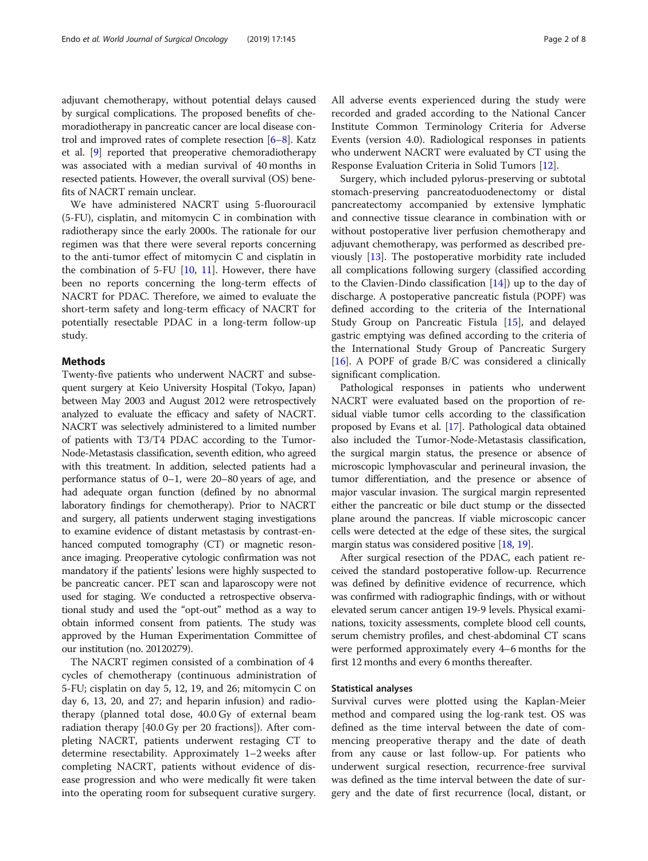adjuvant chemotherapy, without potential delays caused by surgical complications. The proposed benefits of chemoradiotherapy in pancreatic cancer are local disease control and improved rates of complete resection  $[6-8]$  $[6-8]$  $[6-8]$  $[6-8]$  $[6-8]$ . Katz et al. [[9\]](#page-6-0) reported that preoperative chemoradiotherapy was associated with a median survival of 40 months in resected patients. However, the overall survival (OS) benefits of NACRT remain unclear.

We have administered NACRT using 5-fluorouracil (5-FU), cisplatin, and mitomycin C in combination with radiotherapy since the early 2000s. The rationale for our regimen was that there were several reports concerning to the anti-tumor effect of mitomycin C and cisplatin in the combination of 5-FU  $[10, 11]$  $[10, 11]$  $[10, 11]$ . However, there have been no reports concerning the long-term effects of NACRT for PDAC. Therefore, we aimed to evaluate the short-term safety and long-term efficacy of NACRT for potentially resectable PDAC in a long-term follow-up study.

# Methods

Twenty-five patients who underwent NACRT and subsequent surgery at Keio University Hospital (Tokyo, Japan) between May 2003 and August 2012 were retrospectively analyzed to evaluate the efficacy and safety of NACRT. NACRT was selectively administered to a limited number of patients with T3/T4 PDAC according to the Tumor-Node-Metastasis classification, seventh edition, who agreed with this treatment. In addition, selected patients had a performance status of 0–1, were 20–80 years of age, and had adequate organ function (defined by no abnormal laboratory findings for chemotherapy). Prior to NACRT and surgery, all patients underwent staging investigations to examine evidence of distant metastasis by contrast-enhanced computed tomography (CT) or magnetic resonance imaging. Preoperative cytologic confirmation was not mandatory if the patients' lesions were highly suspected to be pancreatic cancer. PET scan and laparoscopy were not used for staging. We conducted a retrospective observational study and used the "opt-out" method as a way to obtain informed consent from patients. The study was approved by the Human Experimentation Committee of our institution (no. 20120279).

The NACRT regimen consisted of a combination of 4 cycles of chemotherapy (continuous administration of 5-FU; cisplatin on day 5, 12, 19, and 26; mitomycin C on day 6, 13, 20, and 27; and heparin infusion) and radiotherapy (planned total dose, 40.0 Gy of external beam radiation therapy [40.0 Gy per 20 fractions]). After completing NACRT, patients underwent restaging CT to determine resectability. Approximately 1–2 weeks after completing NACRT, patients without evidence of disease progression and who were medically fit were taken into the operating room for subsequent curative surgery. All adverse events experienced during the study were recorded and graded according to the National Cancer Institute Common Terminology Criteria for Adverse Events (version 4.0). Radiological responses in patients who underwent NACRT were evaluated by CT using the Response Evaluation Criteria in Solid Tumors [[12\]](#page-6-0).

Surgery, which included pylorus-preserving or subtotal stomach-preserving pancreatoduodenectomy or distal pancreatectomy accompanied by extensive lymphatic and connective tissue clearance in combination with or without postoperative liver perfusion chemotherapy and adjuvant chemotherapy, was performed as described previously [\[13](#page-6-0)]. The postoperative morbidity rate included all complications following surgery (classified according to the Clavien-Dindo classification  $[14]$ ) up to the day of discharge. A postoperative pancreatic fistula (POPF) was defined according to the criteria of the International Study Group on Pancreatic Fistula [\[15](#page-6-0)], and delayed gastric emptying was defined according to the criteria of the International Study Group of Pancreatic Surgery [[16\]](#page-6-0). A POPF of grade B/C was considered a clinically significant complication.

Pathological responses in patients who underwent NACRT were evaluated based on the proportion of residual viable tumor cells according to the classification proposed by Evans et al. [\[17\]](#page-6-0). Pathological data obtained also included the Tumor-Node-Metastasis classification, the surgical margin status, the presence or absence of microscopic lymphovascular and perineural invasion, the tumor differentiation, and the presence or absence of major vascular invasion. The surgical margin represented either the pancreatic or bile duct stump or the dissected plane around the pancreas. If viable microscopic cancer cells were detected at the edge of these sites, the surgical margin status was considered positive [\[18,](#page-6-0) [19](#page-6-0)].

After surgical resection of the PDAC, each patient received the standard postoperative follow-up. Recurrence was defined by definitive evidence of recurrence, which was confirmed with radiographic findings, with or without elevated serum cancer antigen 19-9 levels. Physical examinations, toxicity assessments, complete blood cell counts, serum chemistry profiles, and chest-abdominal CT scans were performed approximately every 4–6 months for the first 12 months and every 6 months thereafter.

## Statistical analyses

Survival curves were plotted using the Kaplan-Meier method and compared using the log-rank test. OS was defined as the time interval between the date of commencing preoperative therapy and the date of death from any cause or last follow-up. For patients who underwent surgical resection, recurrence-free survival was defined as the time interval between the date of surgery and the date of first recurrence (local, distant, or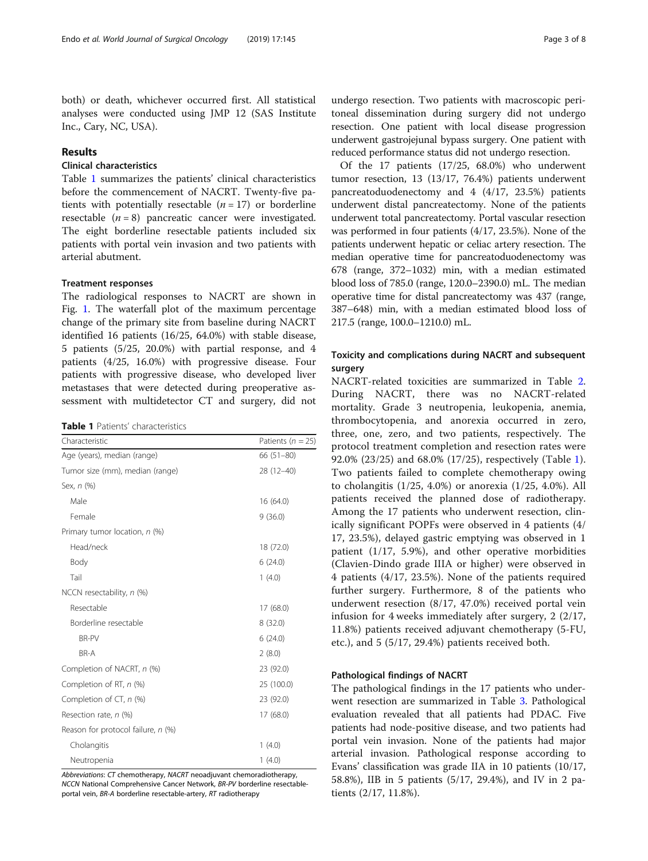both) or death, whichever occurred first. All statistical analyses were conducted using JMP 12 (SAS Institute Inc., Cary, NC, USA).

# Results

# Clinical characteristics

Table 1 summarizes the patients' clinical characteristics before the commencement of NACRT. Twenty-five patients with potentially resectable  $(n = 17)$  or borderline resectable  $(n = 8)$  pancreatic cancer were investigated. The eight borderline resectable patients included six patients with portal vein invasion and two patients with arterial abutment.

## Treatment responses

The radiological responses to NACRT are shown in Fig. [1.](#page-3-0) The waterfall plot of the maximum percentage change of the primary site from baseline during NACRT identified 16 patients (16/25, 64.0%) with stable disease, 5 patients (5/25, 20.0%) with partial response, and 4 patients (4/25, 16.0%) with progressive disease. Four patients with progressive disease, who developed liver metastases that were detected during preoperative assessment with multidetector CT and surgery, did not

| <b>Table 1</b> Patients' characteristics |  |
|------------------------------------------|--|
|------------------------------------------|--|

| Characteristic                     | Patients ( $n = 25$ ) |
|------------------------------------|-----------------------|
| Age (years), median (range)        | $66(51-80)$           |
| Tumor size (mm), median (range)    | 28 (12-40)            |
| Sex, n (%)                         |                       |
| Male                               | 16 (64.0)             |
| Female                             | 9(36.0)               |
| Primary tumor location, n (%)      |                       |
| Head/neck                          | 18 (72.0)             |
| Body                               | 6(24.0)               |
| Tail                               | 1(4.0)                |
| NCCN resectability, $n$ (%)        |                       |
| Resectable                         | 17 (68.0)             |
| Borderline resectable              | 8(32.0)               |
| <b>BR-PV</b>                       | 6(24.0)               |
| BR-A                               | 2(8.0)                |
| Completion of NACRT, n (%)         | 23 (92.0)             |
| Completion of RT, n (%)            | 25 (100.0)            |
| Completion of $CT$ , n $(\%)$      | 23 (92.0)             |
| Resection rate, n (%)              | 17 (68.0)             |
| Reason for protocol failure, n (%) |                       |
| Cholangitis                        | 1(4.0)                |
| Neutropenia                        | 1(4.0)                |

Abbreviations: CT chemotherapy, NACRT neoadjuvant chemoradiotherapy, NCCN National Comprehensive Cancer Network, BR-PV borderline resectableportal vein, BR-A borderline resectable-artery, RT radiotherapy

undergo resection. Two patients with macroscopic peritoneal dissemination during surgery did not undergo resection. One patient with local disease progression underwent gastrojejunal bypass surgery. One patient with reduced performance status did not undergo resection.

Of the 17 patients (17/25, 68.0%) who underwent tumor resection, 13 (13/17, 76.4%) patients underwent pancreatoduodenectomy and 4 (4/17, 23.5%) patients underwent distal pancreatectomy. None of the patients underwent total pancreatectomy. Portal vascular resection was performed in four patients (4/17, 23.5%). None of the patients underwent hepatic or celiac artery resection. The median operative time for pancreatoduodenectomy was 678 (range, 372–1032) min, with a median estimated blood loss of 785.0 (range, 120.0–2390.0) mL. The median operative time for distal pancreatectomy was 437 (range, 387–648) min, with a median estimated blood loss of 217.5 (range, 100.0–1210.0) mL.

# Toxicity and complications during NACRT and subsequent surgery

NACRT-related toxicities are summarized in Table [2](#page-3-0). During NACRT, there was no NACRT-related mortality. Grade 3 neutropenia, leukopenia, anemia, thrombocytopenia, and anorexia occurred in zero, three, one, zero, and two patients, respectively. The protocol treatment completion and resection rates were 92.0% (23/25) and 68.0% (17/25), respectively (Table 1). Two patients failed to complete chemotherapy owing to cholangitis (1/25, 4.0%) or anorexia (1/25, 4.0%). All patients received the planned dose of radiotherapy. Among the 17 patients who underwent resection, clinically significant POPFs were observed in 4 patients (4/ 17, 23.5%), delayed gastric emptying was observed in 1 patient (1/17, 5.9%), and other operative morbidities (Clavien-Dindo grade IIIA or higher) were observed in 4 patients (4/17, 23.5%). None of the patients required further surgery. Furthermore, 8 of the patients who underwent resection (8/17, 47.0%) received portal vein infusion for 4 weeks immediately after surgery, 2 (2/17, 11.8%) patients received adjuvant chemotherapy (5-FU, etc.), and 5 (5/17, 29.4%) patients received both.

## Pathological findings of NACRT

The pathological findings in the 17 patients who underwent resection are summarized in Table [3.](#page-4-0) Pathological evaluation revealed that all patients had PDAC. Five patients had node-positive disease, and two patients had portal vein invasion. None of the patients had major arterial invasion. Pathological response according to Evans' classification was grade IIA in 10 patients (10/17, 58.8%), IIB in 5 patients (5/17, 29.4%), and IV in 2 patients (2/17, 11.8%).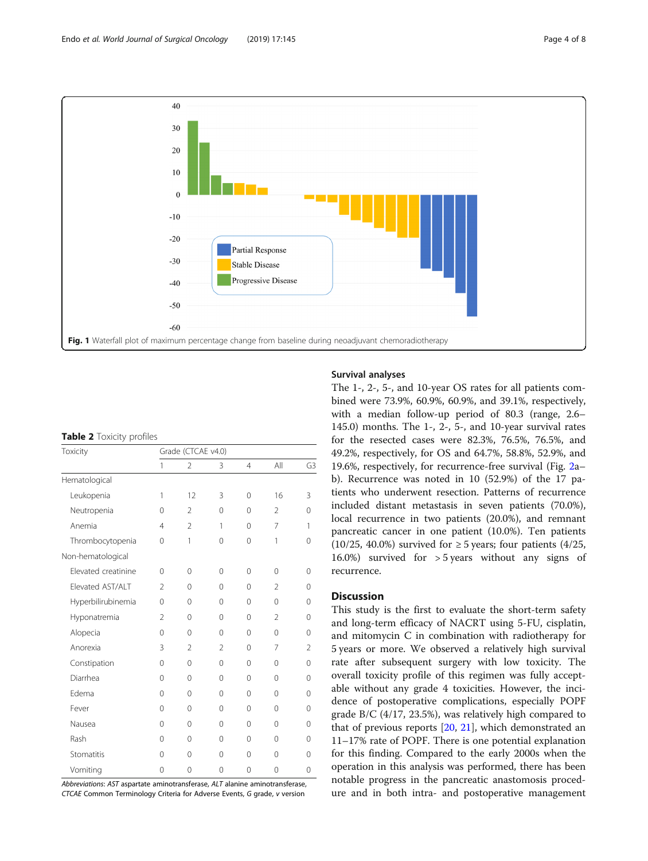<span id="page-3-0"></span>

|  |  | <b>Table 2</b> Toxicity profiles |  |
|--|--|----------------------------------|--|
|--|--|----------------------------------|--|

| Toxicity            | Grade (CTCAE v4.0) |                |                |                |                |                |
|---------------------|--------------------|----------------|----------------|----------------|----------------|----------------|
|                     | $\mathbf{1}$       | $\overline{2}$ | 3              | $\overline{4}$ | All            | G3             |
| Hematological       |                    |                |                |                |                |                |
| Leukopenia          | 1                  | 12             | 3              | $\Omega$       | 16             | 3              |
| Neutropenia         | $\Omega$           | $\overline{2}$ | $\Omega$       | $\Omega$       | $\overline{2}$ | 0              |
| Anemia              | 4                  | $\overline{2}$ | 1              | $\Omega$       | $\overline{7}$ | 1              |
| Thrombocytopenia    | 0                  | 1              | 0              | 0              | 1              | 0              |
| Non-hematological   |                    |                |                |                |                |                |
| Elevated creatinine | $\Omega$           | 0              | $\Omega$       | $\Omega$       | $\Omega$       | 0              |
| Elevated AST/ALT    | $\overline{2}$     | $\Omega$       | $\Omega$       | $\Omega$       | $\overline{2}$ | 0              |
| Hyperbilirubinemia  | 0                  | 0              | 0              | $\Omega$       | $\Omega$       | 0              |
| Hyponatremia        | $\overline{2}$     | $\Omega$       | $\Omega$       | $\Omega$       | $\mathfrak{D}$ | $\Omega$       |
| Alopecia            | $\Omega$           | $\Omega$       | $\Omega$       | $\Omega$       | $\Omega$       | 0              |
| Anorexia            | 3                  | $\mathfrak{D}$ | $\overline{2}$ | $\Omega$       | 7              | $\overline{2}$ |
| Constipation        | 0                  | 0              | 0              | $\Omega$       | $\Omega$       | 0              |
| Diarrhea            | $\Omega$           | $\Omega$       | $\Omega$       | $\Omega$       | $\Omega$       | $\Omega$       |
| Edema               | $\Omega$           | $\Omega$       | $\Omega$       | $\Omega$       | $\Omega$       | $\Omega$       |
| Fever               | $\Omega$           | $\Omega$       | 0              | 0              | $\Omega$       | 0              |
| Nausea              | $\Omega$           | $\Omega$       | $\Omega$       | $\Omega$       | $\Omega$       | 0              |
| Rash                | $\Omega$           | 0              | 0              | $\Omega$       | $\Omega$       | 0              |
| Stomatitis          | $\Omega$           | $\Omega$       | $\Omega$       | $\Omega$       | $\Omega$       | $\Omega$       |
| Vomiting            | $\overline{0}$     | 0              | 0              | 0              | 0              | 0              |

Abbreviations: AST aspartate aminotransferase, ALT alanine aminotransferase, CTCAE Common Terminology Criteria for Adverse Events, G grade, v version

## Survival analyses

The 1-, 2-, 5-, and 10-year OS rates for all patients combined were 73.9%, 60.9%, 60.9%, and 39.1%, respectively, with a median follow-up period of 80.3 (range, 2.6– 145.0) months. The 1-, 2-, 5-, and 10-year survival rates for the resected cases were 82.3%, 76.5%, 76.5%, and 49.2%, respectively, for OS and 64.7%, 58.8%, 52.9%, and 19.6%, respectively, for recurrence-free survival (Fig. [2](#page-5-0)a– b). Recurrence was noted in 10 (52.9%) of the 17 patients who underwent resection. Patterns of recurrence included distant metastasis in seven patients (70.0%), local recurrence in two patients (20.0%), and remnant pancreatic cancer in one patient (10.0%). Ten patients (10/25, 40.0%) survived for  $\geq$  5 years; four patients (4/25, 16.0%) survived for > 5 years without any signs of recurrence.

# **Discussion**

This study is the first to evaluate the short-term safety and long-term efficacy of NACRT using 5-FU, cisplatin, and mitomycin C in combination with radiotherapy for 5 years or more. We observed a relatively high survival rate after subsequent surgery with low toxicity. The overall toxicity profile of this regimen was fully acceptable without any grade 4 toxicities. However, the incidence of postoperative complications, especially POPF grade B/C (4/17, 23.5%), was relatively high compared to that of previous reports [\[20](#page-6-0), [21](#page-6-0)], which demonstrated an 11–17% rate of POPF. There is one potential explanation for this finding. Compared to the early 2000s when the operation in this analysis was performed, there has been notable progress in the pancreatic anastomosis procedure and in both intra- and postoperative management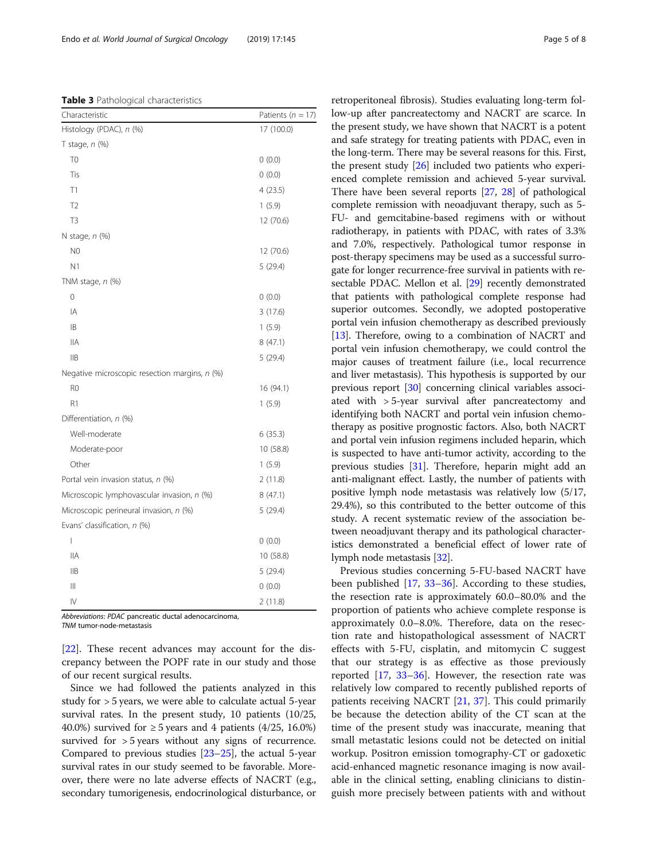<span id="page-4-0"></span>Table 3 Pathological characteristics

| Characteristic                                | Patients ( $n = 17$ ) |
|-----------------------------------------------|-----------------------|
| Histology (PDAC), n (%)                       | 17 (100.0)            |
| T stage, $n$ (%)                              |                       |
| T <sub>0</sub>                                | 0(0.0)                |
| Tis                                           | 0(0.0)                |
| T1                                            | 4(23.5)               |
| T <sub>2</sub>                                | 1(5.9)                |
| T <sub>3</sub>                                | 12 (70.6)             |
| N stage, $n$ (%)                              |                       |
| N <sub>0</sub>                                | 12 (70.6)             |
| N <sub>1</sub>                                | 5(29.4)               |
| TNM stage, n (%)                              |                       |
| 0                                             | 0(0.0)                |
| IA                                            | 3(17.6)               |
| IB                                            | 1(5.9)                |
| IIА                                           | 8(47.1)               |
| <b>IIB</b>                                    | 5(29.4)               |
| Negative microscopic resection margins, n (%) |                       |
| R <sub>0</sub>                                | 16 (94.1)             |
| R1                                            | 1(5.9)                |
| Differentiation, n (%)                        |                       |
| Well-moderate                                 | 6(35.3)               |
| Moderate-poor                                 | 10 (58.8)             |
| Other                                         | 1(5.9)                |
| Portal vein invasion status, n (%)            | 2(11.8)               |
| Microscopic lymphovascular invasion, n (%)    | 8(47.1)               |
| Microscopic perineural invasion, n (%)        | 5(29.4)               |
| Evans' classification, n (%)                  |                       |
| I                                             | 0(0.0)                |
| <b>IIA</b>                                    | 10 (58.8)             |
| <b>IIB</b>                                    | 5(29.4)               |
| $\parallel$                                   | 0(0.0)                |
| IV                                            | 2(11.8)               |

Abbreviations: PDAC pancreatic ductal adenocarcinoma, TNM tumor-node-metastasis

[[22\]](#page-6-0). These recent advances may account for the discrepancy between the POPF rate in our study and those of our recent surgical results.

Since we had followed the patients analyzed in this study for > 5 years, we were able to calculate actual 5-year survival rates. In the present study, 10 patients (10/25, 40.0%) survived for  $\geq$  5 years and 4 patients (4/25, 16.0%) survived for > 5 years without any signs of recurrence. Compared to previous studies [\[23](#page-6-0)–[25](#page-7-0)], the actual 5-year survival rates in our study seemed to be favorable. Moreover, there were no late adverse effects of NACRT (e.g., secondary tumorigenesis, endocrinological disturbance, or

retroperitoneal fibrosis). Studies evaluating long-term follow-up after pancreatectomy and NACRT are scarce. In the present study, we have shown that NACRT is a potent and safe strategy for treating patients with PDAC, even in the long-term. There may be several reasons for this. First, the present study [\[26\]](#page-7-0) included two patients who experienced complete remission and achieved 5-year survival. There have been several reports [\[27,](#page-7-0) [28\]](#page-7-0) of pathological complete remission with neoadjuvant therapy, such as 5- FU- and gemcitabine-based regimens with or without radiotherapy, in patients with PDAC, with rates of 3.3% and 7.0%, respectively. Pathological tumor response in post-therapy specimens may be used as a successful surrogate for longer recurrence-free survival in patients with resectable PDAC. Mellon et al. [\[29\]](#page-7-0) recently demonstrated that patients with pathological complete response had superior outcomes. Secondly, we adopted postoperative portal vein infusion chemotherapy as described previously [[13](#page-6-0)]. Therefore, owing to a combination of NACRT and portal vein infusion chemotherapy, we could control the major causes of treatment failure (i.e., local recurrence and liver metastasis). This hypothesis is supported by our previous report [[30](#page-7-0)] concerning clinical variables associated with > 5-year survival after pancreatectomy and identifying both NACRT and portal vein infusion chemotherapy as positive prognostic factors. Also, both NACRT and portal vein infusion regimens included heparin, which is suspected to have anti-tumor activity, according to the previous studies [\[31\]](#page-7-0). Therefore, heparin might add an anti-malignant effect. Lastly, the number of patients with positive lymph node metastasis was relatively low (5/17, 29.4%), so this contributed to the better outcome of this study. A recent systematic review of the association between neoadjuvant therapy and its pathological characteristics demonstrated a beneficial effect of lower rate of lymph node metastasis [\[32](#page-7-0)].

Previous studies concerning 5-FU-based NACRT have been published [\[17](#page-6-0), [33](#page-7-0)–[36\]](#page-7-0). According to these studies, the resection rate is approximately 60.0–80.0% and the proportion of patients who achieve complete response is approximately 0.0–8.0%. Therefore, data on the resection rate and histopathological assessment of NACRT effects with 5-FU, cisplatin, and mitomycin C suggest that our strategy is as effective as those previously reported [[17](#page-6-0), [33](#page-7-0)–[36\]](#page-7-0). However, the resection rate was relatively low compared to recently published reports of patients receiving NACRT [\[21](#page-6-0), [37](#page-7-0)]. This could primarily be because the detection ability of the CT scan at the time of the present study was inaccurate, meaning that small metastatic lesions could not be detected on initial workup. Positron emission tomography-CT or gadoxetic acid-enhanced magnetic resonance imaging is now available in the clinical setting, enabling clinicians to distinguish more precisely between patients with and without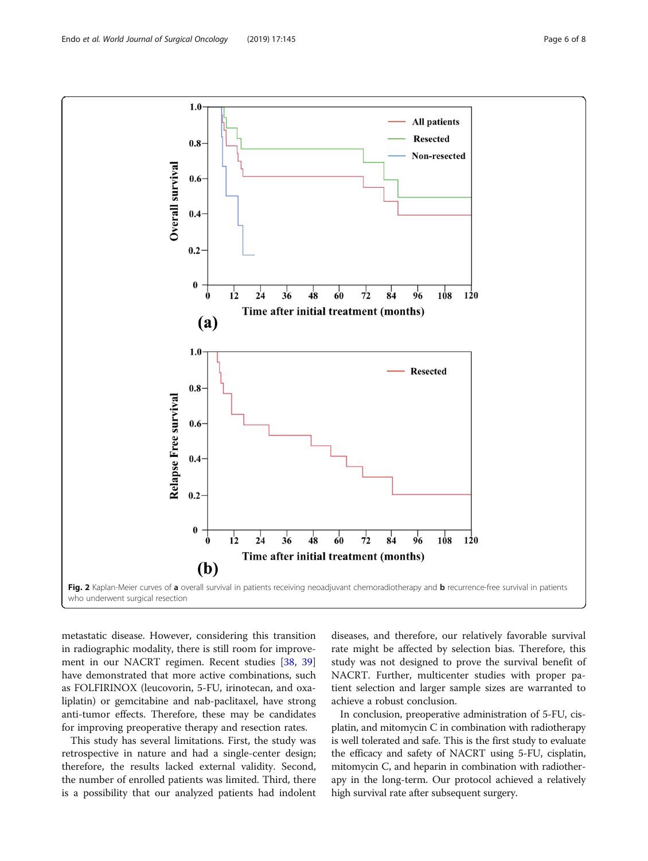<span id="page-5-0"></span>

metastatic disease. However, considering this transition in radiographic modality, there is still room for improvement in our NACRT regimen. Recent studies [[38,](#page-7-0) [39](#page-7-0)] have demonstrated that more active combinations, such as FOLFIRINOX (leucovorin, 5-FU, irinotecan, and oxaliplatin) or gemcitabine and nab-paclitaxel, have strong anti-tumor effects. Therefore, these may be candidates for improving preoperative therapy and resection rates.

This study has several limitations. First, the study was retrospective in nature and had a single-center design; therefore, the results lacked external validity. Second, the number of enrolled patients was limited. Third, there is a possibility that our analyzed patients had indolent

diseases, and therefore, our relatively favorable survival rate might be affected by selection bias. Therefore, this study was not designed to prove the survival benefit of NACRT. Further, multicenter studies with proper patient selection and larger sample sizes are warranted to achieve a robust conclusion.

In conclusion, preoperative administration of 5-FU, cisplatin, and mitomycin C in combination with radiotherapy is well tolerated and safe. This is the first study to evaluate the efficacy and safety of NACRT using 5-FU, cisplatin, mitomycin C, and heparin in combination with radiotherapy in the long-term. Our protocol achieved a relatively high survival rate after subsequent surgery.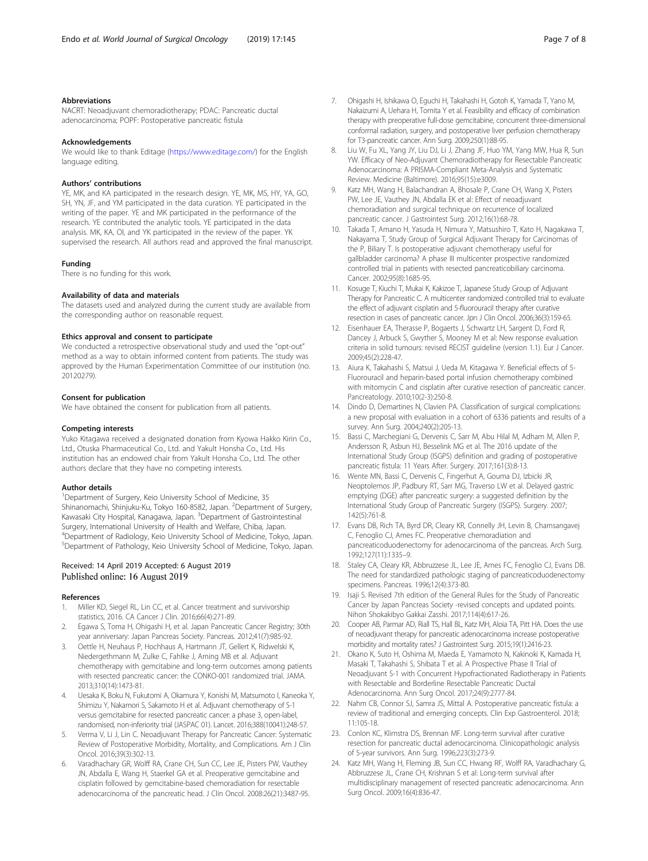## <span id="page-6-0"></span>Abbreviations

NACRT: Neoadjuvant chemoradiotherapy; PDAC: Pancreatic ductal adenocarcinoma; POPF: Postoperative pancreatic fistula

#### Acknowledgements

We would like to thank Editage ([https://www.editage.com/\)](https://www.editage.com/) for the English language editing.

## Authors' contributions

YE, MK, and KA participated in the research design. YE, MK, MS, HY, YA, GO, SH, YN, JF, and YM participated in the data curation. YE participated in the writing of the paper. YE and MK participated in the performance of the research. YE contributed the analytic tools. YE participated in the data analysis. MK, KA, OI, and YK participated in the review of the paper. YK supervised the research. All authors read and approved the final manuscript.

#### Funding

There is no funding for this work.

## Availability of data and materials

The datasets used and analyzed during the current study are available from the corresponding author on reasonable request.

### Ethics approval and consent to participate

We conducted a retrospective observational study and used the "opt-out" method as a way to obtain informed content from patients. The study was approved by the Human Experimentation Committee of our institution (no. 20120279).

#### Consent for publication

We have obtained the consent for publication from all patients.

#### Competing interests

Yuko Kitagawa received a designated donation from Kyowa Hakko Kirin Co., Ltd., Otuska Pharmaceutical Co., Ltd. and Yakult Honsha Co., Ltd. His institution has an endowed chair from Yakult Honsha Co., Ltd. The other authors declare that they have no competing interests.

#### Author details

<sup>1</sup>Department of Surgery, Keio University School of Medicine, 35 Shinanomachi, Shinjuku-Ku, Tokyo 160-8582, Japan. <sup>2</sup>Department of Surgery, Kawasaki City Hospital, Kanagawa, Japan. <sup>3</sup>Department of Gastrointestinal Surgery, International University of Health and Welfare, Chiba, Japan. 4 Department of Radiology, Keio University School of Medicine, Tokyo, Japan. 5 Department of Pathology, Keio University School of Medicine, Tokyo, Japan.

## Received: 14 April 2019 Accepted: 6 August 2019 Published online: 16 August 2019

#### References

- 1. Miller KD, Siegel RL, Lin CC, et al. Cancer treatment and survivorship statistics, 2016. CA Cancer J Clin. 2016;66(4):271-89.
- 2. Egawa S, Toma H, Ohigashi H, et al. Japan Pancreatic Cancer Registry; 30th year anniversary: Japan Pancreas Society. Pancreas. 2012;41(7):985-92.
- 3. Oettle H, Neuhaus P, Hochhaus A, Hartmann JT, Gellert K, Ridwelski K, Niedergethmann M, Zulke C, Fahlke J, Arning MB et al. Adjuvant chemotherapy with gemcitabine and long-term outcomes among patients with resected pancreatic cancer: the CONKO-001 randomized trial. JAMA. 2013;310(14):1473-81.
- 4. Uesaka K, Boku N, Fukutomi A, Okamura Y, Konishi M, Matsumoto I, Kaneoka Y, Shimizu Y, Nakamori S, Sakamoto H et al. Adjuvant chemotherapy of S-1 versus gemcitabine for resected pancreatic cancer: a phase 3, open-label, randomised, non-inferiority trial (JASPAC 01). Lancet. 2016;388(10041):248-57.
- 5. Verma V, Li J, Lin C. Neoadjuvant Therapy for Pancreatic Cancer: Systematic Review of Postoperative Morbidity, Mortality, and Complications. Am J Clin Oncol. 2016;39(3):302-13.
- Varadhachary GR, Wolff RA, Crane CH, Sun CC, Lee JE, Pisters PW, Vauthey JN, Abdalla E, Wang H, Staerkel GA et al. Preoperative gemcitabine and cisplatin followed by gemcitabine-based chemoradiation for resectable adenocarcinoma of the pancreatic head. J Clin Oncol. 2008:26(21):3487-95.
- 7. Ohigashi H, Ishikawa O, Eguchi H, Takahashi H, Gotoh K, Yamada T, Yano M, Nakaizumi A, Uehara H, Tomita Y et al. Feasibility and efficacy of combination therapy with preoperative full-dose gemcitabine, concurrent three-dimensional conformal radiation, surgery, and postoperative liver perfusion chemotherapy for T3-pancreatic cancer. Ann Surg. 2009;250(1):88-95.
- 8. Liu W, Fu XL, Yang JY, Liu DJ, Li J, Zhang JF, Huo YM, Yang MW, Hua R, Sun YW. Efficacy of Neo-Adjuvant Chemoradiotherapy for Resectable Pancreatic Adenocarcinoma: A PRISMA-Compliant Meta-Analysis and Systematic Review. Medicine (Baltimore). 2016;95(15):e3009.
- 9. Katz MH, Wang H, Balachandran A, Bhosale P, Crane CH, Wang X, Pisters PW, Lee JE, Vauthey JN, Abdalla EK et al: Effect of neoadjuvant chemoradiation and surgical technique on recurrence of localized pancreatic cancer. J Gastrointest Surg. 2012;16(1):68-78.
- 10. Takada T, Amano H, Yasuda H, Nimura Y, Matsushiro T, Kato H, Nagakawa T, Nakayama T, Study Group of Surgical Adjuvant Therapy for Carcinomas of the P, Biliary T. Is postoperative adjuvant chemotherapy useful for gallbladder carcinoma? A phase III multicenter prospective randomized controlled trial in patients with resected pancreaticobiliary carcinoma. Cancer. 2002;95(8):1685-95.
- 11. Kosuge T, Kiuchi T, Mukai K, Kakizoe T, Japanese Study Group of Adjuvant Therapy for Pancreatic C. A multicenter randomized controlled trial to evaluate the effect of adjuvant cisplatin and 5-fluorouracil therapy after curative resection in cases of pancreatic cancer. Jpn J Clin Oncol. 2006;36(3):159-65.
- 12. Eisenhauer EA, Therasse P, Bogaerts J, Schwartz LH, Sargent D, Ford R, Dancey J, Arbuck S, Gwyther S, Mooney M et al: New response evaluation criteria in solid tumours: revised RECIST guideline (version 1.1). Eur J Cancer. 2009;45(2):228-47.
- 13. Aiura K, Takahashi S, Matsui J, Ueda M, Kitagawa Y. Beneficial effects of 5- Fluorouracil and heparin-based portal infusion chemotherapy combined with mitomycin C and cisplatin after curative resection of pancreatic cancer. Pancreatology. 2010;10(2-3):250-8.
- 14. Dindo D, Demartines N, Clavien PA. Classification of surgical complications: a new proposal with evaluation in a cohort of 6336 patients and results of a survey. Ann Surg. 2004;240(2):205-13.
- 15. Bassi C, Marchegiani G, Dervenis C, Sarr M, Abu Hilal M, Adham M, Allen P, Andersson R, Asbun HJ, Besselink MG et al. The 2016 update of the International Study Group (ISGPS) definition and grading of postoperative pancreatic fistula: 11 Years After. Surgery. 2017;161(3):8-13.
- 16. Wente MN, Bassi C, Dervenis C, Fingerhut A, Gouma DJ, Izbicki JR, Neoptolemos JP, Padbury RT, Sarr MG, Traverso LW et al. Delayed gastric emptying (DGE) after pancreatic surgery: a suggested definition by the International Study Group of Pancreatic Surgery (ISGPS). Surgery. 2007; 142(5):761-8.
- 17. Evans DB, Rich TA, Byrd DR, Cleary KR, Connelly JH, Levin B, Charnsangavej C, Fenoglio CJ, Ames FC. Preoperative chemoradiation and pancreaticoduodenectomy for adenocarcinoma of the pancreas. Arch Surg. 1992;127(11):1335–9.
- 18. Staley CA, Cleary KR, Abbruzzese JL, Lee JE, Ames FC, Fenoglio CJ, Evans DB. The need for standardized pathologic staging of pancreaticoduodenectomy specimens. Pancreas. 1996;12(4):373-80.
- 19. Isaji S. Revised 7th edition of the General Rules for the Study of Pancreatic Cancer by Japan Pancreas Society -revised concepts and updated points. Nihon Shokakibyo Gakkai Zasshi. 2017;114(4):617-26.
- 20. Cooper AB, Parmar AD, Riall TS, Hall BL, Katz MH, Aloia TA, Pitt HA. Does the use of neoadjuvant therapy for pancreatic adenocarcinoma increase postoperative morbidity and mortality rates? J Gastrointest Surg. 2015;19(1):2416-23.
- 21. Okano K, Suto H, Oshima M, Maeda E, Yamamoto N, Kakinoki K, Kamada H, Masaki T, Takahashi S, Shibata T et al. A Prospective Phase II Trial of Neoadjuvant S-1 with Concurrent Hypofractionated Radiotherapy in Patients with Resectable and Borderline Resectable Pancreatic Ductal Adenocarcinoma. Ann Surg Oncol. 2017;24(9):2777-84.
- 22. Nahm CB, Connor SJ, Samra JS, Mittal A. Postoperative pancreatic fistula: a review of traditional and emerging concepts. Clin Exp Gastroenterol. 2018; 11:105-18.
- 23. Conlon KC, Klimstra DS, Brennan MF. Long-term survival after curative resection for pancreatic ductal adenocarcinoma. Clinicopathologic analysis of 5-year survivors. Ann Surg. 1996;223(3):273-9.
- 24. Katz MH, Wang H, Fleming JB, Sun CC, Hwang RF, Wolff RA, Varadhachary G, Abbruzzese JL, Crane CH, Krishnan S et al: Long-term survival after multidisciplinary management of resected pancreatic adenocarcinoma. Ann Surg Oncol. 2009;16(4):836-47.